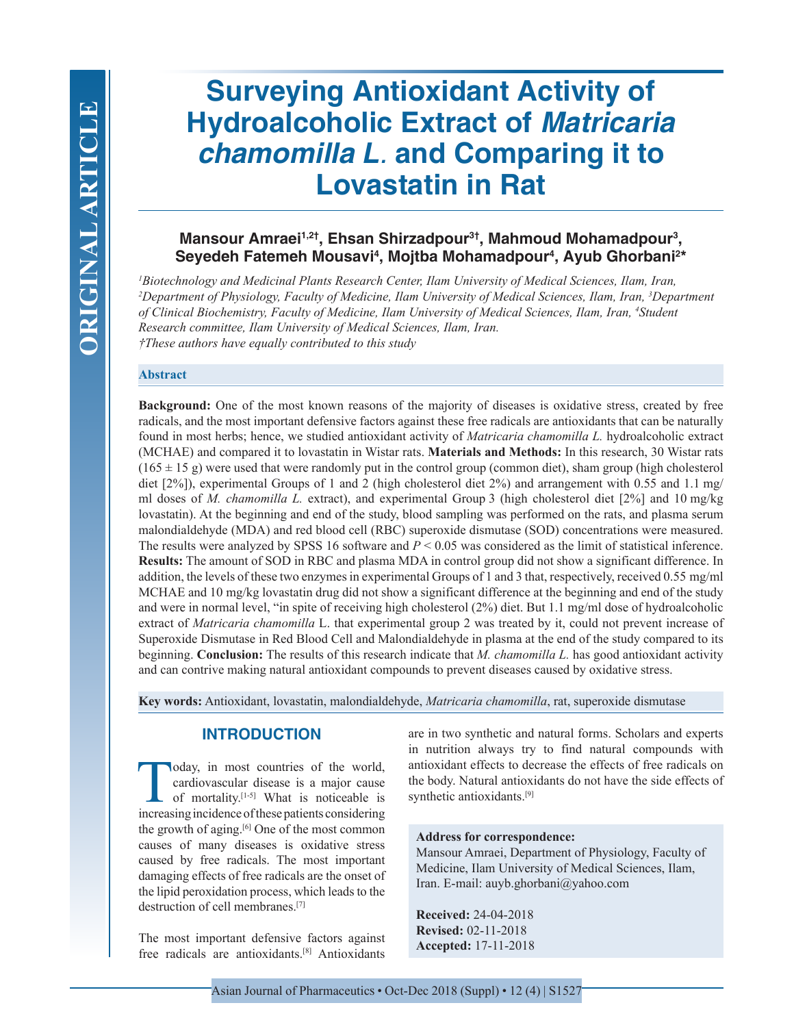# **Surveying Antioxidant Activity of Hydroalcoholic Extract of** *Matricaria chamomilla L.* **and Comparing it to Lovastatin in Rat**

# **Mansour Amraei1,2†, Ehsan Shirzadpour3†, Mahmoud Mohamadpour3 , Seyedeh Fatemeh Mousavi4 , Mojtba Mohamadpour4 , Ayub Ghorbani2 \***

*1 Biotechnology and Medicinal Plants Research Center, Ilam University of Medical Sciences, Ilam, Iran, 2 Department of Physiology, Faculty of Medicine, Ilam University of Medical Sciences, Ilam, Iran, 3 Department of Clinical Biochemistry, Faculty of Medicine, Ilam University of Medical Sciences, Ilam, Iran, 4 Student Research committee, Ilam University of Medical Sciences, Ilam, Iran. †These authors have equally contributed to this study*

#### **Abstract**

**Background:** One of the most known reasons of the majority of diseases is oxidative stress, created by free radicals, and the most important defensive factors against these free radicals are antioxidants that can be naturally found in most herbs; hence, we studied antioxidant activity of *Matricaria chamomilla L.* hydroalcoholic extract (MCHAE) and compared it to lovastatin in Wistar rats. **Materials and Methods:** In this research, 30 Wistar rats  $(165 \pm 15 \text{ g})$  were used that were randomly put in the control group (common diet), sham group (high cholesterol diet [2%]), experimental Groups of 1 and 2 (high cholesterol diet 2%) and arrangement with 0.55 and 1.1 mg/ ml doses of *M. chamomilla L.* extract), and experimental Group 3 (high cholesterol diet [2%] and 10 mg/kg lovastatin). At the beginning and end of the study, blood sampling was performed on the rats, and plasma serum malondialdehyde (MDA) and red blood cell (RBC) superoxide dismutase (SOD) concentrations were measured. The results were analyzed by SPSS 16 software and *P* < 0.05 was considered as the limit of statistical inference. **Results:** The amount of SOD in RBC and plasma MDA in control group did not show a significant difference. In addition, the levels of these two enzymes in experimental Groups of 1 and 3 that, respectively, received 0.55 mg/ml MCHAE and 10 mg/kg lovastatin drug did not show a significant difference at the beginning and end of the study and were in normal level, "in spite of receiving high cholesterol (2%) diet. But 1.1 mg/ml dose of hydroalcoholic extract of *Matricaria chamomilla* L. that experimental group 2 was treated by it, could not prevent increase of Superoxide Dismutase in Red Blood Cell and Malondialdehyde in plasma at the end of the study compared to its beginning. **Conclusion:** The results of this research indicate that *M. chamomilla L.* has good antioxidant activity and can contrive making natural antioxidant compounds to prevent diseases caused by oxidative stress.

**Key words:** Antioxidant, lovastatin, malondialdehyde, *Matricaria chamomilla*, rat, superoxide dismutase

# **INTRODUCTION**

Today, in most countries of the world,<br>cardiovascular disease is a major cause<br>of mortality.<sup>[1-5]</sup> What is noticeable is<br>increasing incidence of these nations considering cardiovascular disease is a major cause of mortality.[1-5] What is noticeable is increasing incidence of these patients considering the growth of aging.[6] One of the most common causes of many diseases is oxidative stress caused by free radicals. The most important damaging effects of free radicals are the onset of the lipid peroxidation process, which leads to the destruction of cell membranes.[7]

The most important defensive factors against free radicals are antioxidants.[8] Antioxidants are in two synthetic and natural forms. Scholars and experts in nutrition always try to find natural compounds with antioxidant effects to decrease the effects of free radicals on the body. Natural antioxidants do not have the side effects of synthetic antioxidants.<sup>[9]</sup>

### **Address for correspondence:**

Mansour Amraei, Department of Physiology, Faculty of Medicine, Ilam University of Medical Sciences, Ilam, Iran. E-mail: auyb.ghorbani@yahoo.com

**Received:** 24-04-2018 **Revised:** 02-11-2018 **Accepted:** 17-11-2018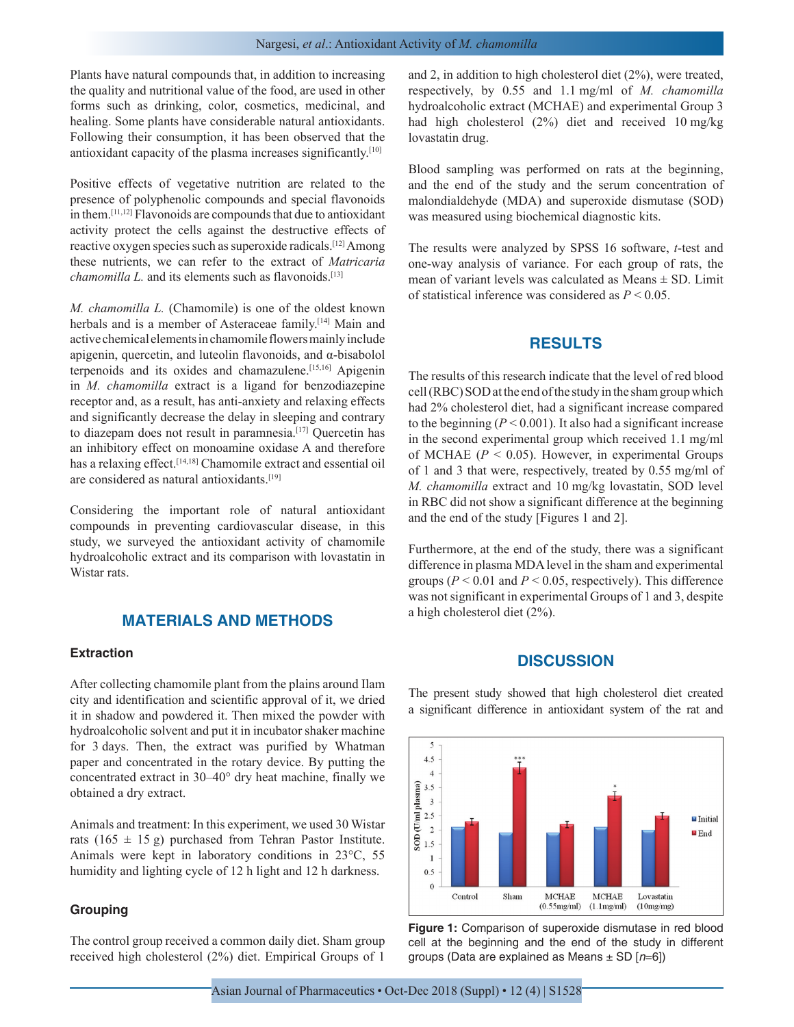Plants have natural compounds that, in addition to increasing the quality and nutritional value of the food, are used in other forms such as drinking, color, cosmetics, medicinal, and healing. Some plants have considerable natural antioxidants. Following their consumption, it has been observed that the antioxidant capacity of the plasma increases significantly.[10]

Positive effects of vegetative nutrition are related to the presence of polyphenolic compounds and special flavonoids in them.[11,12] Flavonoids are compounds that due to antioxidant activity protect the cells against the destructive effects of reactive oxygen species such as superoxide radicals.[12] Among these nutrients, we can refer to the extract of *Matricaria chamomilla L.* and its elements such as flavonoids.<sup>[13]</sup>

*M. chamomilla L.* (Chamomile) is one of the oldest known herbals and is a member of Asteraceae family.<sup>[14]</sup> Main and active chemical elements in chamomile flowers mainly include apigenin, quercetin, and luteolin flavonoids, and α-bisabolol terpenoids and its oxides and chamazulene.[15,16] Apigenin in *M. chamomilla* extract is a ligand for benzodiazepine receptor and, as a result, has anti-anxiety and relaxing effects and significantly decrease the delay in sleeping and contrary to diazepam does not result in paramnesia.<sup>[17]</sup> Quercetin has an inhibitory effect on monoamine oxidase A and therefore has a relaxing effect.<sup>[14,18]</sup> Chamomile extract and essential oil are considered as natural antioxidants.[19]

Considering the important role of natural antioxidant compounds in preventing cardiovascular disease, in this study, we surveyed the antioxidant activity of chamomile hydroalcoholic extract and its comparison with lovastatin in Wistar rats.

# **MATERIALS AND METHODS**

#### **Extraction**

After collecting chamomile plant from the plains around Ilam city and identification and scientific approval of it, we dried it in shadow and powdered it. Then mixed the powder with hydroalcoholic solvent and put it in incubator shaker machine for 3 days. Then, the extract was purified by Whatman paper and concentrated in the rotary device. By putting the concentrated extract in 30–40° dry heat machine, finally we obtained a dry extract.

Animals and treatment: In this experiment, we used 30 Wistar rats (165  $\pm$  15 g) purchased from Tehran Pastor Institute. Animals were kept in laboratory conditions in 23°C, 55 humidity and lighting cycle of 12 h light and 12 h darkness.

#### **Grouping**

The control group received a common daily diet. Sham group received high cholesterol (2%) diet. Empirical Groups of 1 and 2, in addition to high cholesterol diet (2%), were treated, respectively, by 0.55 and 1.1 mg/ml of *M. chamomilla* hydroalcoholic extract (MCHAE) and experimental Group 3 had high cholesterol (2%) diet and received 10 mg/kg lovastatin drug.

Blood sampling was performed on rats at the beginning, and the end of the study and the serum concentration of malondialdehyde (MDA) and superoxide dismutase (SOD) was measured using biochemical diagnostic kits.

The results were analyzed by SPSS 16 software, *t*-test and one-way analysis of variance. For each group of rats, the mean of variant levels was calculated as Means  $\pm$  SD. Limit of statistical inference was considered as *P* < 0.05.

## **RESULTS**

The results of this research indicate that the level of red blood cell (RBC) SOD at the end of the study in the sham group which had 2% cholesterol diet, had a significant increase compared to the beginning ( $P < 0.001$ ). It also had a significant increase in the second experimental group which received 1.1 mg/ml of MCHAE  $(P < 0.05)$ . However, in experimental Groups of 1 and 3 that were, respectively, treated by 0.55 mg/ml of *M. chamomilla* extract and 10 mg/kg lovastatin, SOD level in RBC did not show a significant difference at the beginning and the end of the study [Figures 1 and 2].

Furthermore, at the end of the study, there was a significant difference in plasma MDA level in the sham and experimental groups ( $P < 0.01$  and  $P < 0.05$ , respectively). This difference was not significant in experimental Groups of 1 and 3, despite a high cholesterol diet (2%).

## **DISCUSSION**

The present study showed that high cholesterol diet created a significant difference in antioxidant system of the rat and



**Figure 1:** Comparison of superoxide dismutase in red blood cell at the beginning and the end of the study in different groups (Data are explained as Means ± SD [*n*=6])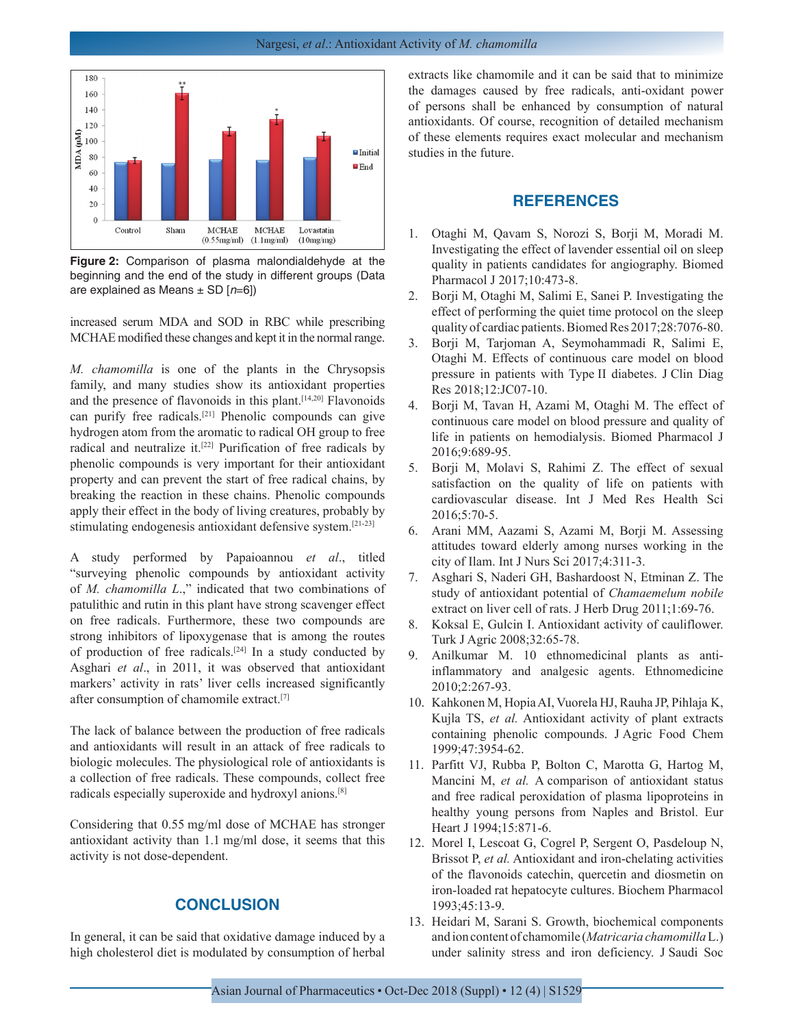

**Figure 2:** Comparison of plasma malondialdehyde at the beginning and the end of the study in different groups (Data are explained as Means ± SD [*n*=6])

increased serum MDA and SOD in RBC while prescribing MCHAE modified these changes and kept it in the normal range.

*M. chamomilla* is one of the plants in the Chrysopsis family, and many studies show its antioxidant properties and the presence of flavonoids in this plant.[14,20] Flavonoids can purify free radicals.[21] Phenolic compounds can give hydrogen atom from the aromatic to radical OH group to free radical and neutralize it.[22] Purification of free radicals by phenolic compounds is very important for their antioxidant property and can prevent the start of free radical chains, by breaking the reaction in these chains. Phenolic compounds apply their effect in the body of living creatures, probably by stimulating endogenesis antioxidant defensive system.[21-23]

A study performed by Papaioannou *et al*., titled "surveying phenolic compounds by antioxidant activity of *M. chamomilla L*.," indicated that two combinations of patulithic and rutin in this plant have strong scavenger effect on free radicals. Furthermore, these two compounds are strong inhibitors of lipoxygenase that is among the routes of production of free radicals.[24] In a study conducted by Asghari *et al*., in 2011, it was observed that antioxidant markers' activity in rats' liver cells increased significantly after consumption of chamomile extract.[7]

The lack of balance between the production of free radicals and antioxidants will result in an attack of free radicals to biologic molecules. The physiological role of antioxidants is a collection of free radicals. These compounds, collect free radicals especially superoxide and hydroxyl anions.[8]

Considering that 0.55 mg/ml dose of MCHAE has stronger antioxidant activity than 1.1 mg/ml dose, it seems that this activity is not dose-dependent.

# **CONCLUSION**

In general, it can be said that oxidative damage induced by a high cholesterol diet is modulated by consumption of herbal extracts like chamomile and it can be said that to minimize the damages caused by free radicals, anti-oxidant power of persons shall be enhanced by consumption of natural antioxidants. Of course, recognition of detailed mechanism of these elements requires exact molecular and mechanism studies in the future.

# **REFERENCES**

- 1. Otaghi M, Qavam S, Norozi S, Borji M, Moradi M. Investigating the effect of lavender essential oil on sleep quality in patients candidates for angiography. Biomed Pharmacol J 2017;10:473-8.
- 2. Borji M, Otaghi M, Salimi E, Sanei P. Investigating the effect of performing the quiet time protocol on the sleep quality of cardiac patients. Biomed Res 2017;28:7076-80.
- 3. Borji M, Tarjoman A, Seymohammadi R, Salimi E, Otaghi M. Effects of continuous care model on blood pressure in patients with Type II diabetes. J Clin Diag Res 2018;12:JC07-10.
- 4. Borji M, Tavan H, Azami M, Otaghi M. The effect of continuous care model on blood pressure and quality of life in patients on hemodialysis. Biomed Pharmacol J 2016;9:689-95.
- 5. Borji M, Molavi S, Rahimi Z. The effect of sexual satisfaction on the quality of life on patients with cardiovascular disease. Int J Med Res Health Sci 2016;5:70-5.
- 6. Arani MM, Aazami S, Azami M, Borji M. Assessing attitudes toward elderly among nurses working in the city of Ilam. Int J Nurs Sci 2017;4:311-3.
- 7. Asghari S, Naderi GH, Bashardoost N, Etminan Z. The study of antioxidant potential of *Chamaemelum nobile* extract on liver cell of rats. J Herb Drug 2011;1:69-76.
- 8. Koksal E, Gulcin I. Antioxidant activity of cauliflower. Turk J Agric 2008;32:65-78.
- 9. Anilkumar M. 10 ethnomedicinal plants as antiinflammatory and analgesic agents. Ethnomedicine 2010;2:267-93.
- 10. Kahkonen M, Hopia AI, Vuorela HJ, Rauha JP, Pihlaja K, Kujla TS, *et al.* Antioxidant activity of plant extracts containing phenolic compounds. J Agric Food Chem 1999;47:3954-62.
- 11. Parfitt VJ, Rubba P, Bolton C, Marotta G, Hartog M, Mancini M, *et al.* A comparison of antioxidant status and free radical peroxidation of plasma lipoproteins in healthy young persons from Naples and Bristol. Eur Heart J 1994;15:871-6.
- 12. Morel I, Lescoat G, Cogrel P, Sergent O, Pasdeloup N, Brissot P, *et al.* Antioxidant and iron-chelating activities of the flavonoids catechin, quercetin and diosmetin on iron-loaded rat hepatocyte cultures. Biochem Pharmacol 1993;45:13-9.
- 13. Heidari M, Sarani S. Growth, biochemical components and ion content of chamomile (*Matricaria chamomilla* L.) under salinity stress and iron deficiency. J Saudi Soc